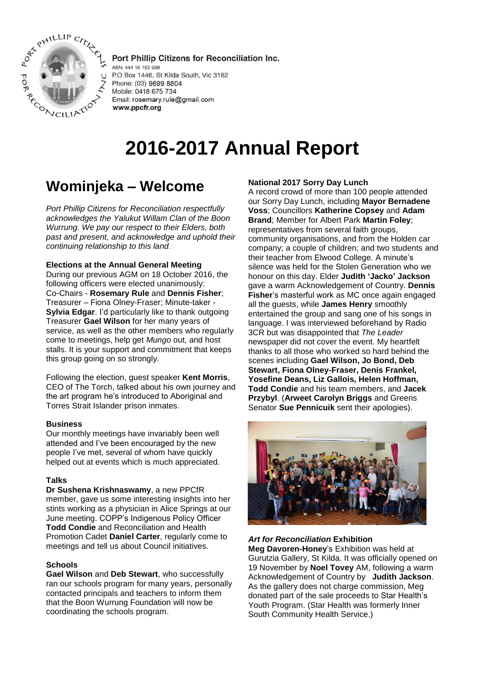

Port Phillip Citizens for Reconciliation Inc. ABN: 444 16 152 998 P.O Box 1446, St Kilda South, Vic 3182 Phone: (03) 9699 8804 Mobile: 0418 675 734 Email: rosemary.rule@gmail.com

# **2016-2017 Annual Report**

## **Wominjeka – Welcome**

www.ppcfr.org

*Port Phillip Citizens for Reconciliation respectfully acknowledges the Yalukut Willam Clan of the Boon Wurrung. We pay our respect to their Elders, both past and present, and acknowledge and uphold their continuing relationship to this land.*

#### **Elections at the Annual General Meeting**

During our previous AGM on 18 October 2016, the following officers were elected unanimously: Co-Chairs - **Rosemary Rule** and **Dennis Fisher**; Treasurer – Fiona Olney-Fraser; Minute-taker - **Sylvia Edgar**. I'd particularly like to thank outgoing Treasurer **Gael Wilson** for her many years of service, as well as the other members who regularly come to meetings, help get *Mungo* out, and host stalls. It is your support and commitment that keeps this group going on so strongly.

Following the election, guest speaker **Kent Morris**, CEO of The Torch, talked about his own journey and the art program he's introduced to Aboriginal and Torres Strait Islander prison inmates.

#### **Business**

Our monthly meetings have invariably been well attended and I've been encouraged by the new people I've met, several of whom have quickly helped out at events which is much appreciated.

#### **Talks**

**Dr Sushena Krishnaswamy**, a new PPCfR member, gave us some interesting insights into her stints working as a physician in Alice Springs at our June meeting. COPP's Indigenous Policy Officer **Todd Condie** and Reconciliation and Health Promotion Cadet **Daniel Carter**, regularly come to meetings and tell us about Council initiatives.

#### **Schools**

**Gael Wilson** and **Deb Stewart**, who successfully ran our schools program for many years, personally contacted principals and teachers to inform them that the Boon Wurrung Foundation will now be coordinating the schools program.

#### **National 2017 Sorry Day Lunch**

A record crowd of more than 100 people attended our Sorry Day Lunch, including **Mayor Bernadene Voss**; Councillors **Katherine Copsey** and **Adam Brand**; Member for Albert Park **Martin Foley**; representatives from several faith groups, community organisations, and from the Holden car company; a couple of children; and two students and their teacher from Elwood College. A minute's silence was held for the Stolen Generation who we honour on this day. Elder **Judith 'Jacko' Jackson** gave a warm Acknowledgement of Country. **Dennis Fisher**'s masterful work as MC once again engaged all the guests, while **James Henry** smoothly entertained the group and sang one of his songs in language. I was interviewed beforehand by Radio 3CR but was disappointed that *The Leader*  newspaper did not cover the event. My heartfelt thanks to all those who worked so hard behind the scenes including **Gael Wilson, Jo Bond, Deb Stewart, Fiona Olney-Fraser, Denis Frankel, Yosefine Deans, Liz Gallois, Helen Hoffman, Todd Condie** and his team members, and **Jacek Przybyl**. (**Arweet Carolyn Briggs** and Greens Senator **Sue Pennicuik** sent their apologies).



#### *Art for Reconciliation* **Exhibition**

**Meg Davoren-Honey**'s Exhibition was held at Gurutzia Gallery, St Kilda. It was officially opened on 19 November by **Noel Tovey** AM, following a warm Acknowledgement of Country by **Judith Jackson**. As the gallery does not charge commission, Meg donated part of the sale proceeds to Star Health's Youth Program. (Star Health was formerly Inner South Community Health Service.)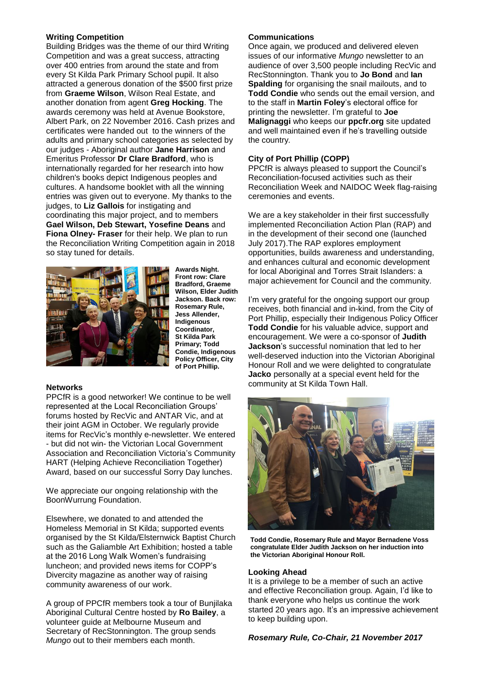### **Writing Competition**

Building Bridges was the theme of our third Writing Competition and was a great success, attracting over 400 entries from around the state and from every St Kilda Park Primary School pupil. It also attracted a generous donation of the \$500 first prize from **Graeme Wilson**, Wilson Real Estate, and another donation from agent **Greg Hocking**. The awards ceremony was held at Avenue Bookstore, Albert Park, on 22 November 2016. Cash prizes and certificates were handed out to the winners of the adults and primary school categories as selected by our judges - Aboriginal author **Jane Harrison** and Emeritus Professor **Dr Clare Bradford**, who is internationally regarded for her research into how children's books depict Indigenous peoples and cultures. A handsome booklet with all the winning entries was given out to everyone. My thanks to the judges, to **Liz Gallois** for instigating and coordinating this major project, and to members **Gael Wilson, Deb Stewart, Yosefine Deans** and **Fiona Olney- Fraser** for their help. We plan to run the Reconciliation Writing Competition again in 2018 so stay tuned for details.



**Awards Night. Front row: Clare Bradford, Graeme Wilson, Elder Judith Jackson. Back row: Rosemary Rule, Jess Allender, Indigenous Coordinator, St Kilda Park Primary; Todd Condie, Indigenous Policy Officer, City of Port Phillip.**

#### **Networks**

PPCfR is a good networker! We continue to be well represented at the Local Reconciliation Groups' forums hosted by RecVic and ANTAR Vic, and at their joint AGM in October. We regularly provide items for RecVic's monthly e-newsletter. We entered - but did not win- the Victorian Local Government Association and Reconciliation Victoria's Community HART (Helping Achieve Reconciliation Together) Award, based on our successful Sorry Day lunches.

We appreciate our ongoing relationship with the BoonWurrung Foundation.

Elsewhere, we donated to and attended the Homeless Memorial in St Kilda; supported events organised by the St Kilda/Elsternwick Baptist Church such as the Galiamble Art Exhibition; hosted a table at the 2016 Long Walk Women's fundraising luncheon; and provided news items for COPP's Divercity magazine as another way of raising community awareness of our work.

A group of PPCfR members took a tour of Bunjilaka Aboriginal Cultural Centre hosted by **Ro Bailey**, a volunteer guide at Melbourne Museum and Secretary of RecStonnington. The group sends *Mungo* out to their members each month.

#### **Communications**

Once again, we produced and delivered eleven issues of our informative *Mungo* newsletter to an audience of over 3,500 people including RecVic and RecStonnington. Thank you to **Jo Bond** and **Ian Spalding** for organising the snail mailouts, and to **Todd Condie** who sends out the email version, and to the staff in **Martin Foley**'s electoral office for printing the newsletter. I'm grateful to **Joe Malignaggi** who keeps our **ppcfr.org** site updated and well maintained even if he's travelling outside the country*.* 

### **City of Port Phillip (COPP)**

PPCfR is always pleased to support the Council's Reconciliation-focused activities such as their Reconciliation Week and NAIDOC Week flag-raising ceremonies and events.

We are a key stakeholder in their first successfully implemented Reconciliation Action Plan (RAP) and in the development of their second one (launched July 2017).The RAP explores employment opportunities, builds awareness and understanding, and enhances cultural and economic development for local Aboriginal and Torres Strait Islanders: a major achievement for Council and the community.

I'm very grateful for the ongoing support our group receives, both financial and in-kind, from the City of Port Phillip, especially their Indigenous Policy Officer **Todd Condie** for his valuable advice, support and encouragement. We were a co-sponsor of **Judith Jackson**'s successful nomination that led to her well-deserved induction into the Victorian Aboriginal Honour Roll and we were delighted to congratulate **Jacko** personally at a special event held for the community at St Kilda Town Hall.



**Todd Condie, Rosemary Rule and Mayor Bernadene Voss congratulate Elder Judith Jackson on her induction into the Victorian Aboriginal Honour Roll.**

#### **Looking Ahead**

It is a privilege to be a member of such an active and effective Reconciliation group*.* Again, I'd like to thank everyone who helps us continue the work started 20 years ago. It's an impressive achievement to keep building upon.

*Rosemary Rule, Co-Chair, 21 November 2017*